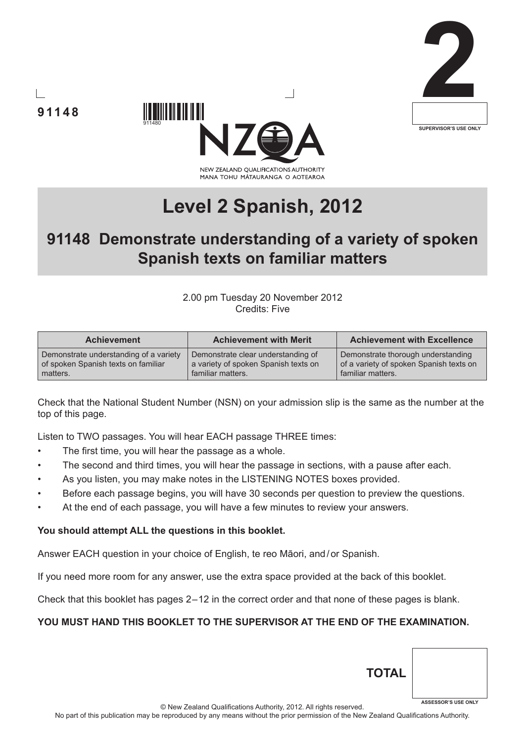





# **Level 2 Spanish, 2012**

# **91148 Demonstrate understanding of a variety of spoken Spanish texts on familiar matters**

#### 2.00 pm Tuesday 20 November 2012 Credits: Five

| <b>Achievement</b>                     | <b>Achievement with Merit</b>        | <b>Achievement with Excellence</b>      |  |  |  |
|----------------------------------------|--------------------------------------|-----------------------------------------|--|--|--|
| Demonstrate understanding of a variety | Demonstrate clear understanding of   | Demonstrate thorough understanding      |  |  |  |
| of spoken Spanish texts on familiar    | a variety of spoken Spanish texts on | of a variety of spoken Spanish texts on |  |  |  |
| matters.                               | familiar matters.                    | familiar matters.                       |  |  |  |

Check that the National Student Number (NSN) on your admission slip is the same as the number at the top of this page.

Listen to TWO passages. You will hear EACH passage THREE times:

The first time, you will hear the passage as a whole.

**91148**

- The second and third times, you will hear the passage in sections, with a pause after each.
- As you listen, you may make notes in the LISTENING NOTES boxes provided.
- Before each passage begins, you will have 30 seconds per question to preview the questions.
- At the end of each passage, you will have a few minutes to review your answers.

#### **You should attempt ALL the questions in this booklet.**

Answer EACH question in your choice of English, te reo Māori, and/or Spanish.

If you need more room for any answer, use the extra space provided at the back of this booklet.

Check that this booklet has pages 2 – 12 in the correct order and that none of these pages is blank.

# **YOU MUST HAND THIS BOOKLET TO THE SUPERVISOR AT THE END OF THE EXAMINATION.**

© New Zealand Qualifications Authority, 2012. All rights reserved.

**TOTAL**

**ASSESSOR'S USE ONLY**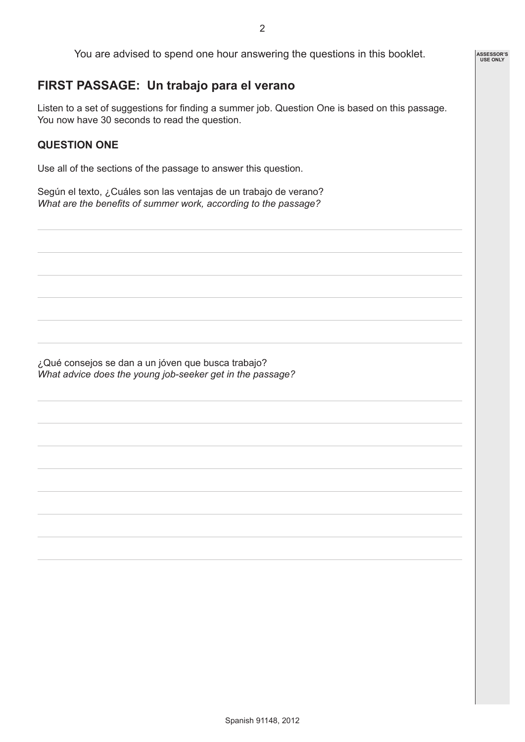You are advised to spend one hour answering the questions in this booklet.

# **FIRST PASSAGE: Un trabajo para el verano**

Listen to a set of suggestions for finding a summer job. Question One is based on this passage. You now have 30 seconds to read the question.

# **QUESTION ONE**

Use all of the sections of the passage to answer this question.

Según el texto, ¿Cuáles son las ventajas de un trabajo de verano? *What are the benefits of summer work, according to the passage?*

¿Qué consejos se dan a un jóven que busca trabajo? *What advice does the young job-seeker get in the passage?* **ASSESSOR'S USE ONLY**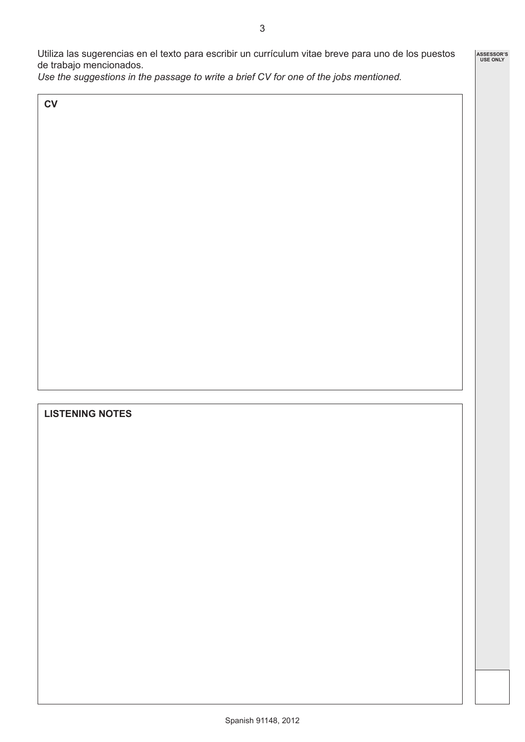**ASSESSOR'S USE ONLY**

Utiliza las sugerencias en el texto para escribir un currículum vitae breve para uno de los puestos de trabajo mencionados.

*Use the suggestions in the passage to write a brief CV for one of the jobs mentioned.*

**CV**

# **LISTENING NOTES**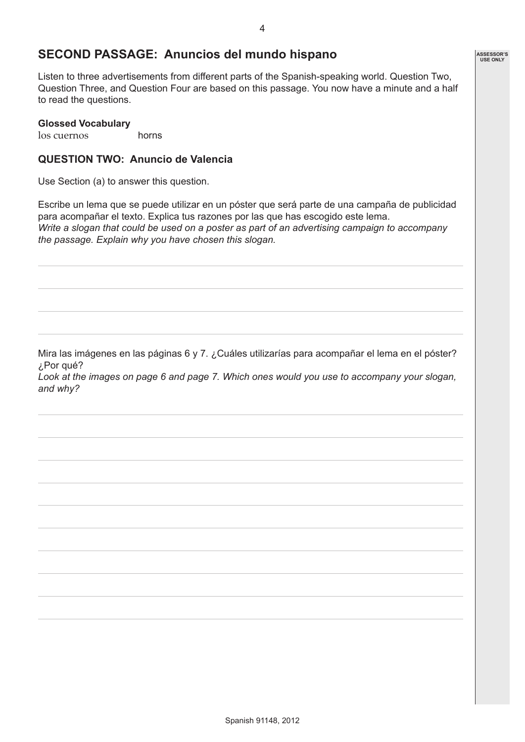# **SECOND PASSAGE: Anuncios del mundo hispano**

Listen to three advertisements from different parts of the Spanish-speaking world. Question Two, Question Three, and Question Four are based on this passage. You now have a minute and a half to read the questions.

#### **Glossed Vocabulary**

los cuernos horns

#### **QUESTION TWO: Anuncio de Valencia**

Use Section (a) to answer this question.

Escribe un lema que se puede utilizar en un póster que será parte de una campaña de publicidad para acompañar el texto. Explica tus razones por las que has escogido este lema. *Write a slogan that could be used on a poster as part of an advertising campaign to accompany the passage. Explain why you have chosen this slogan.* 

Mira las imágenes en las páginas 6 y 7. ¿Cuáles utilizarías para acompañar el lema en el póster? ¿Por qué?

*Look at the images on page 6 and page 7. Which ones would you use to accompany your slogan, and why?*

**ASSESSOR'S USE ONLY**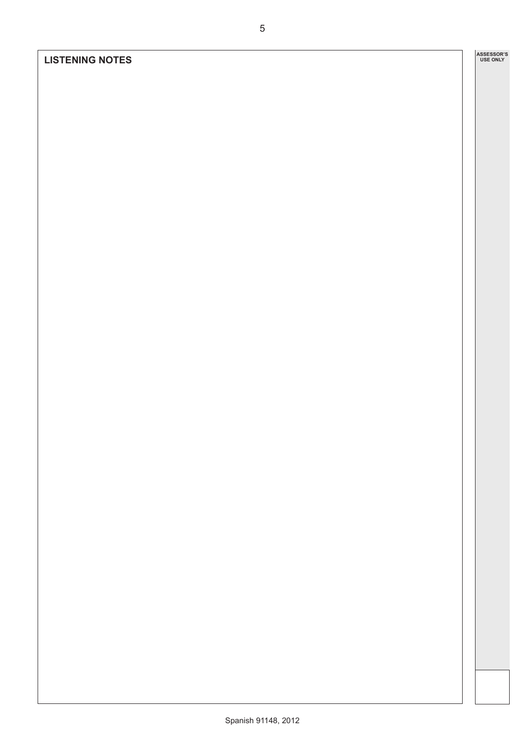# **LISTENING NOTES**

**ASSESSOR'S USE ONLY**

5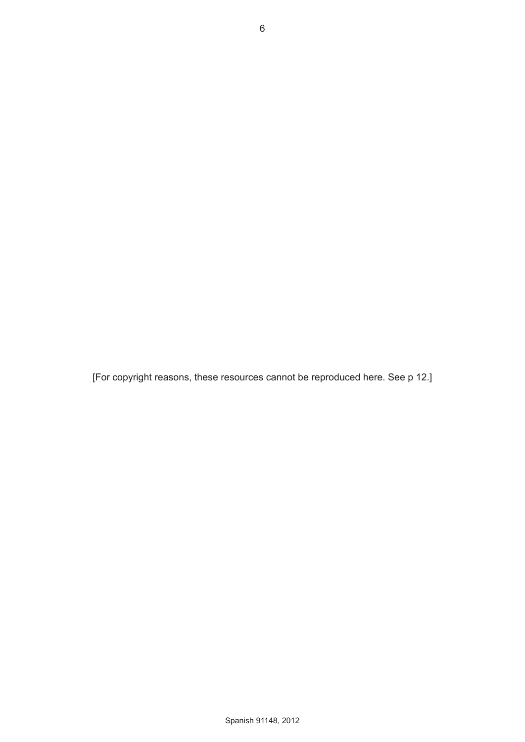[For copyright reasons, these resources cannot be reproduced here. See p 12.]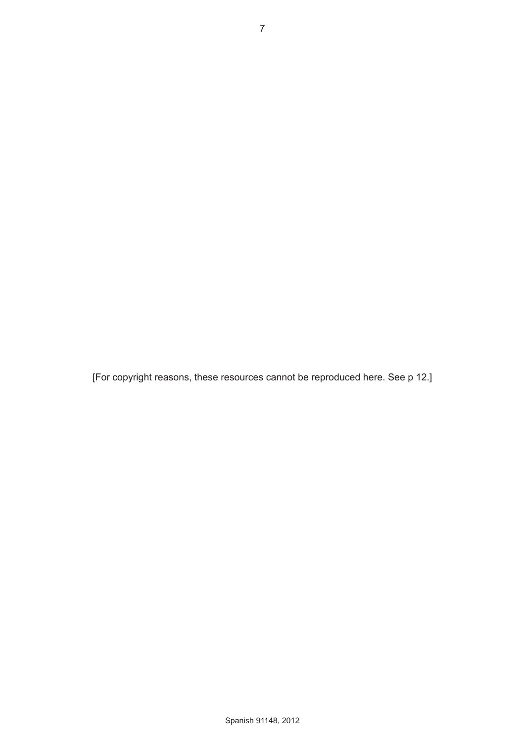[For copyright reasons, these resources cannot be reproduced here. See p 12.]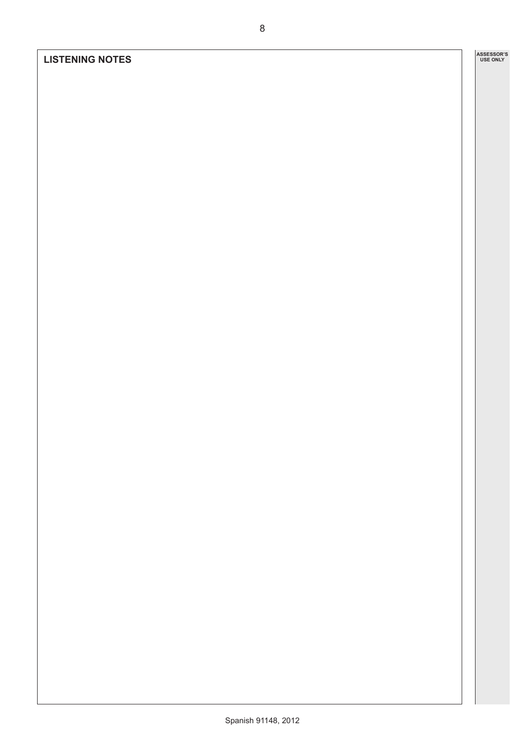#### **LISTENING NOTES**

**ASSESSOR'S USE ONLY**

8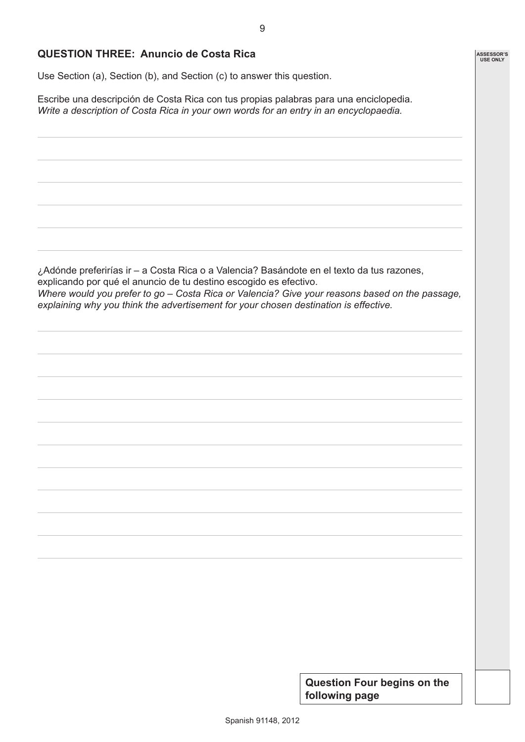**ASSESSOR'S USE ONLY**

## **QUESTION THREE: Anuncio de Costa Rica**

Use Section (a), Section (b), and Section (c) to answer this question.

Escribe una descripción de Costa Rica con tus propias palabras para una enciclopedia. *Write a description of Costa Rica in your own words for an entry in an encyclopaedia.*

¿Adónde preferirías ir – a Costa Rica o a Valencia? Basándote en el texto da tus razones, explicando por qué el anuncio de tu destino escogido es efectivo. *Where would you prefer to go – Costa Rica or Valencia? Give your reasons based on the passage, explaining why you think the advertisement for your chosen destination is effective.*

> **Question Four begins on the following page**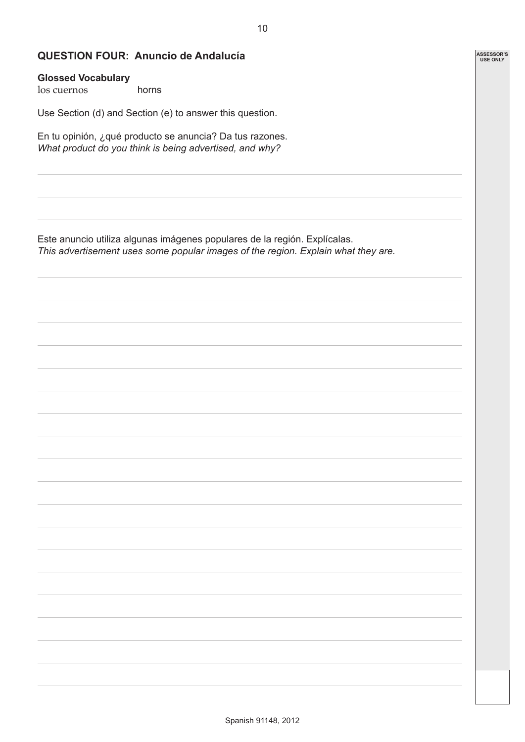**ASSESSOR'S USE ONLY**

## **QUESTION FOUR: Anuncio de Andalucía**

#### **Glossed Vocabulary**

los cuernos horns

Use Section (d) and Section (e) to answer this question.

En tu opinión, ¿qué producto se anuncia? Da tus razones. *What product do you think is being advertised, and why?*

Este anuncio utiliza algunas imágenes populares de la región. Explícalas. *This advertisement uses some popular images of the region. Explain what they are.*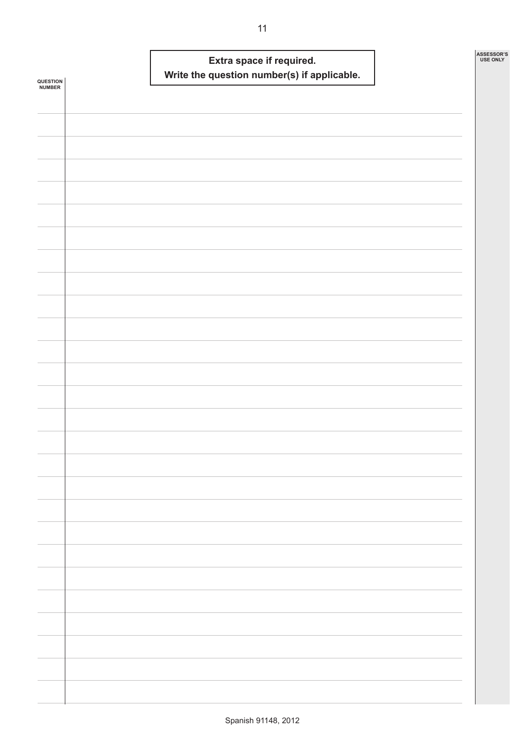|                    |  | Extra space if required. | Write the question number(s) if applicable. |  | ASSESSOR'S<br><b>USE ONLY</b> |
|--------------------|--|--------------------------|---------------------------------------------|--|-------------------------------|
| QUESTION<br>NUMBER |  |                          |                                             |  |                               |
|                    |  |                          |                                             |  |                               |
|                    |  |                          |                                             |  |                               |
|                    |  |                          |                                             |  |                               |
|                    |  |                          |                                             |  |                               |
|                    |  |                          |                                             |  |                               |
|                    |  |                          |                                             |  |                               |
|                    |  |                          |                                             |  |                               |
|                    |  |                          |                                             |  |                               |
|                    |  |                          |                                             |  |                               |
|                    |  |                          |                                             |  |                               |
|                    |  |                          |                                             |  |                               |
|                    |  |                          |                                             |  |                               |
|                    |  |                          |                                             |  |                               |
|                    |  |                          |                                             |  |                               |
|                    |  |                          |                                             |  |                               |
|                    |  |                          |                                             |  |                               |
|                    |  |                          |                                             |  |                               |
|                    |  |                          |                                             |  |                               |
|                    |  |                          |                                             |  |                               |
|                    |  |                          |                                             |  |                               |
|                    |  |                          |                                             |  |                               |
|                    |  |                          |                                             |  |                               |
|                    |  |                          |                                             |  |                               |